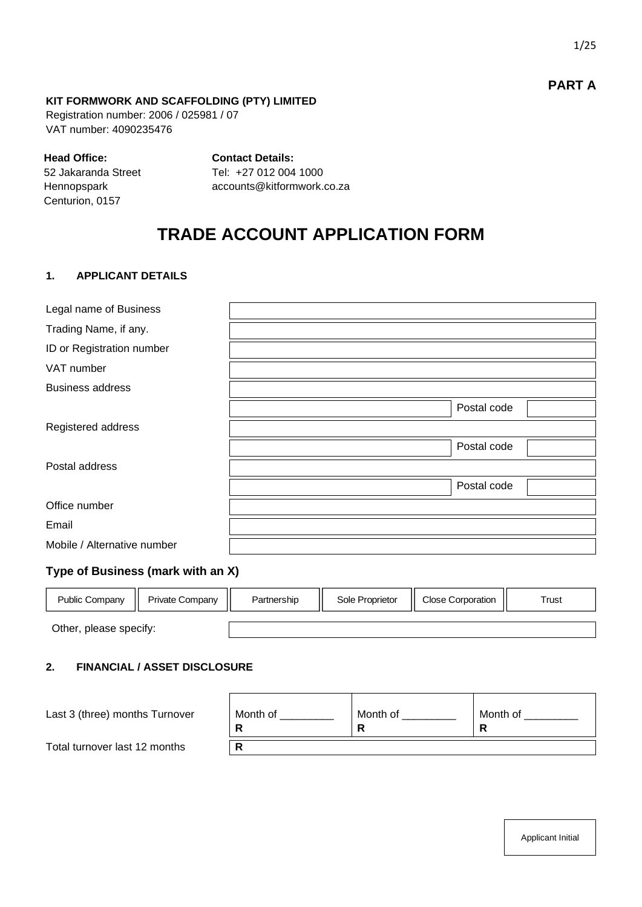# **PART A**

#### **KIT FORMWORK AND SCAFFOLDING (PTY) LIMITED**

Registration number: 2006 / 025981 / 07 VAT number: 4090235476

#### **Head Office:**

**Contact Details:**

52 Jakaranda Street Hennopspark Centurion, 0157

Tel: +27 012 004 1000 accounts@kitformwork.co.za

# **TRADE ACCOUNT APPLICATION FORM**

#### **1. APPLICANT DETAILS**

| Legal name of Business            |             |
|-----------------------------------|-------------|
| Trading Name, if any.             |             |
| ID or Registration number         |             |
| VAT number                        |             |
| <b>Business address</b>           |             |
|                                   | Postal code |
| Registered address                |             |
|                                   | Postal code |
| Postal address                    |             |
|                                   | Postal code |
| Office number                     |             |
| Email                             |             |
| Mobile / Alternative number       |             |
| Tung of Ducinose (mark with an V) |             |

#### **Type of Business (mark with an X)**

| <b>Public Company</b>  | <b>Private Company</b> | Partnership | Sole Proprietor | <b>Close Corporation</b> | Trust |
|------------------------|------------------------|-------------|-----------------|--------------------------|-------|
|                        |                        |             |                 |                          |       |
| Other, please specify: |                        |             |                 |                          |       |

#### **2. FINANCIAL / ASSET DISCLOSURE**

| Last 3 (three) months Turnover | Month of | Month of | Month of |
|--------------------------------|----------|----------|----------|
| Total turnover last 12 months  |          |          |          |

Applicant Initial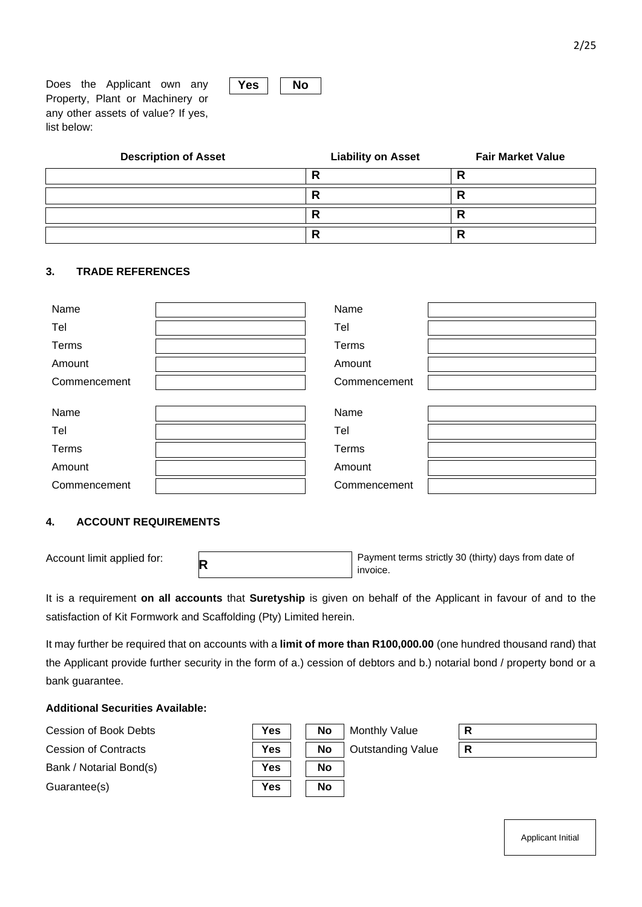Does the Applicant own any Property, Plant or Machinery or any other assets of value? If yes, list below:

| <b>Description of Asset</b> | <b>Liability on Asset</b> | <b>Fair Market Value</b> |
|-----------------------------|---------------------------|--------------------------|
|                             |                           | Е<br>n                   |
|                             |                           | Ð<br>Б                   |
|                             |                           | ▫<br>Б                   |
|                             | г                         | D<br>Б                   |

#### **3. TRADE REFERENCES**

| Name         | Name         |  |
|--------------|--------------|--|
| Tel          | Tel          |  |
| Terms        | Terms        |  |
| Amount       | Amount       |  |
| Commencement | Commencement |  |
|              |              |  |
| Name         | Name         |  |
| Tel          | Tel          |  |
| Terms        | Terms        |  |
| Amount       | Amount       |  |
| Commencement | Commencement |  |

#### **4. ACCOUNT REQUIREMENTS**

Account limit applied for: **<sup>R</sup>**

Payment terms strictly 30 (thirty) days from date of invoice.

It is a requirement **on all accounts** that **Suretyship** is given on behalf of the Applicant in favour of and to the satisfaction of Kit Formwork and Scaffolding (Pty) Limited herein.

It may further be required that on accounts with a **limit of more than R100,000.00** (one hundred thousand rand) that the Applicant provide further security in the form of a.) cession of debtors and b.) notarial bond / property bond or a bank guarantee.

#### **Additional Securities Available:**



Applicant Initial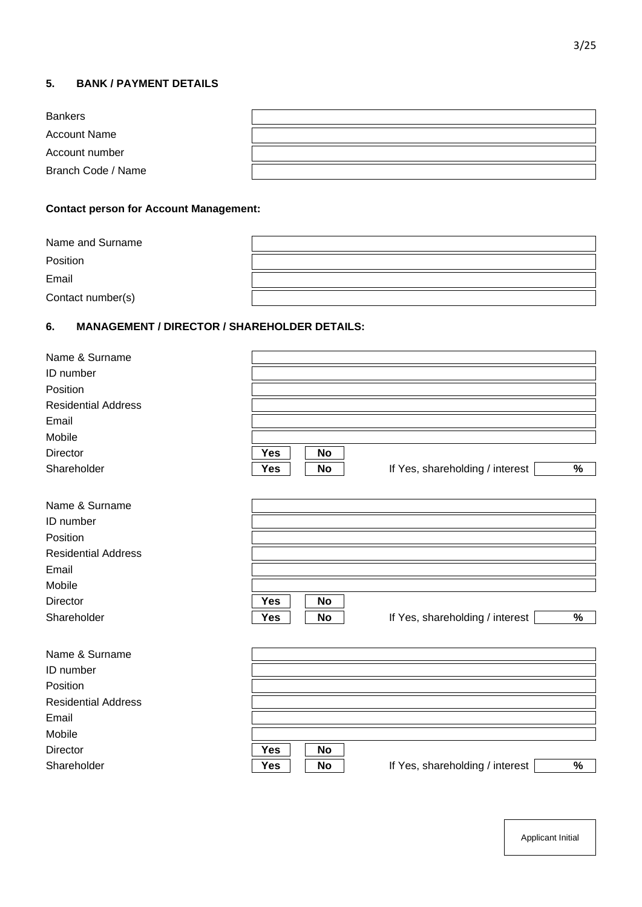## **5. BANK / PAYMENT DETAILS**

| <b>Bankers</b>      |  |
|---------------------|--|
| <b>Account Name</b> |  |
| Account number      |  |
| Branch Code / Name  |  |

# **Contact person for Account Management:**

| Name and Surname  |  |
|-------------------|--|
| Position          |  |
| Email             |  |
| Contact number(s) |  |

# **6. MANAGEMENT / DIRECTOR / SHAREHOLDER DETAILS:**

| Name & Surname             |                         |                                                  |
|----------------------------|-------------------------|--------------------------------------------------|
| ID number                  |                         |                                                  |
| Position                   |                         |                                                  |
| <b>Residential Address</b> |                         |                                                  |
| Email                      |                         |                                                  |
| Mobile                     |                         |                                                  |
| <b>Director</b>            | <b>Yes</b><br><b>No</b> |                                                  |
| Shareholder                | <b>No</b><br><b>Yes</b> | $\%$<br>If Yes, shareholding / interest          |
| Name & Surname             |                         |                                                  |
| ID number                  |                         |                                                  |
|                            |                         |                                                  |
| Position                   |                         |                                                  |
| <b>Residential Address</b> |                         |                                                  |
| Email                      |                         |                                                  |
| Mobile                     |                         |                                                  |
| <b>Director</b>            | Yes<br><b>No</b>        |                                                  |
| Shareholder                | <b>No</b><br><b>Yes</b> | If Yes, shareholding / interest<br>$\%$          |
| Name & Surname             |                         |                                                  |
| ID number                  |                         |                                                  |
| Position                   |                         |                                                  |
| <b>Residential Address</b> |                         |                                                  |
| Email                      |                         |                                                  |
| Mobile                     |                         |                                                  |
| <b>Director</b>            | <b>Yes</b><br>No        |                                                  |
| Shareholder                | <b>Yes</b><br><b>No</b> | $\frac{0}{0}$<br>If Yes, shareholding / interest |
|                            |                         |                                                  |

Applicant Initial